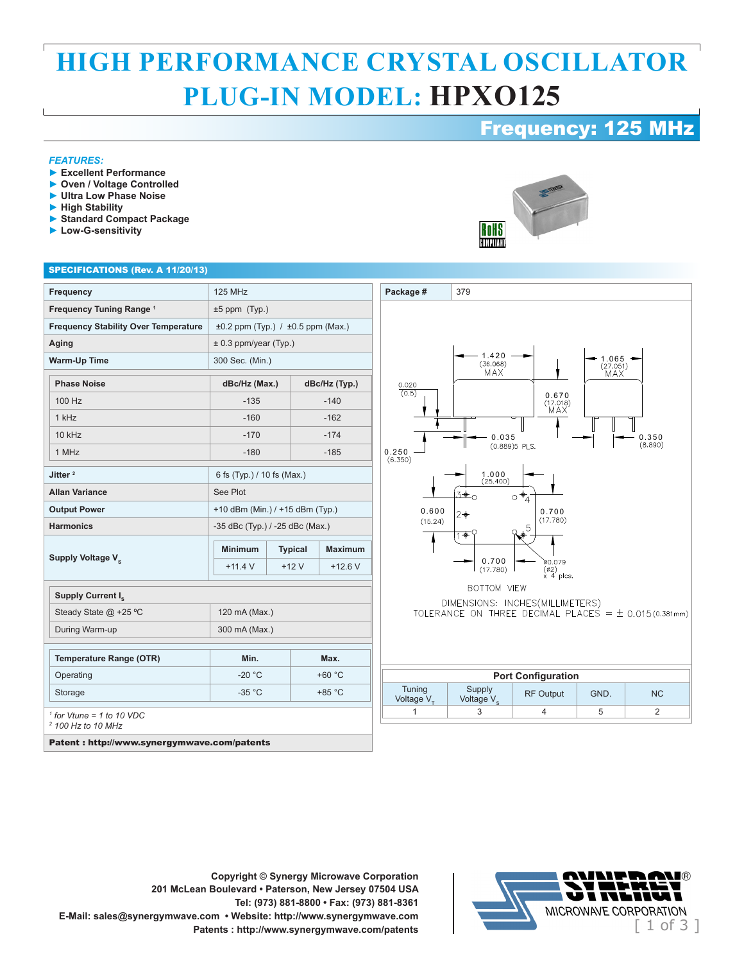## **HIGH PERFORMANCE CRYSTAL OSCILLATOR PLUG-IN MODEL: HPXO125**

## Frequency: 125 MHz

#### *FEATURES:*

- **► Excellent Performance**
- **► Oven / Voltage Controlled**
- **► Ultra Low Phase Noise**
- **► High Stability**
- **► Standard Compact Package**
- **► Low-G-sensitivity**



#### SPECIFICATIONS (Rev. A 11/20/13)

| <b>Frequency</b>                                                       | <b>125 MHz</b>                              |                |               |                |
|------------------------------------------------------------------------|---------------------------------------------|----------------|---------------|----------------|
| Frequency Tuning Range <sup>1</sup>                                    | $±5$ ppm $(Typ.)$                           |                |               |                |
| <b>Frequency Stability Over Temperature</b>                            | $\pm 0.2$ ppm (Typ.) / $\pm 0.5$ ppm (Max.) |                |               |                |
| Aging                                                                  | $\pm$ 0.3 ppm/year (Typ.)                   |                |               |                |
| <b>Warm-Up Time</b>                                                    | 300 Sec. (Min.)                             |                |               |                |
| <b>Phase Noise</b>                                                     | dBc/Hz (Max.)                               |                | dBc/Hz (Typ.) |                |
| 100 Hz                                                                 | $-135$                                      |                | $-140$        |                |
| 1 kHz                                                                  | $-160$                                      |                | $-162$        |                |
| $10$ kHz                                                               | $-170$                                      |                | $-174$        |                |
| 1 MHz                                                                  | $-180$                                      |                | $-185$        |                |
| Jitter <sup>2</sup>                                                    | 6 fs (Typ.) / 10 fs (Max.)                  |                |               |                |
| <b>Allan Variance</b>                                                  | See Plot                                    |                |               |                |
| <b>Output Power</b>                                                    | +10 dBm (Min.) / +15 dBm (Typ.)             |                |               |                |
| <b>Harmonics</b>                                                       | -35 dBc (Typ.) / -25 dBc (Max.)             |                |               |                |
| Supply Voltage V <sub>s</sub>                                          | <b>Minimum</b>                              | <b>Typical</b> |               | <b>Maximum</b> |
|                                                                        | $+11.4$ V                                   | $+12V$         |               | $+12.6$ V      |
| Supply Current I <sub>c</sub>                                          |                                             |                |               |                |
| Steady State @ +25 °C                                                  | 120 mA (Max.)                               |                |               |                |
| During Warm-up                                                         | 300 mA (Max.)                               |                |               |                |
| <b>Temperature Range (OTR)</b>                                         | Min.                                        |                | Max.          |                |
| Operating                                                              | $-20 °C$                                    |                | $+60 °C$      |                |
| Storage                                                                | $-35 °C$                                    |                | $+85 °C$      |                |
| $\frac{1}{1}$ for Vtune = 1 to 10 VDC<br><sup>2</sup> 100 Hz to 10 MHz |                                             |                |               |                |
| $-$                                                                    |                                             |                |               |                |





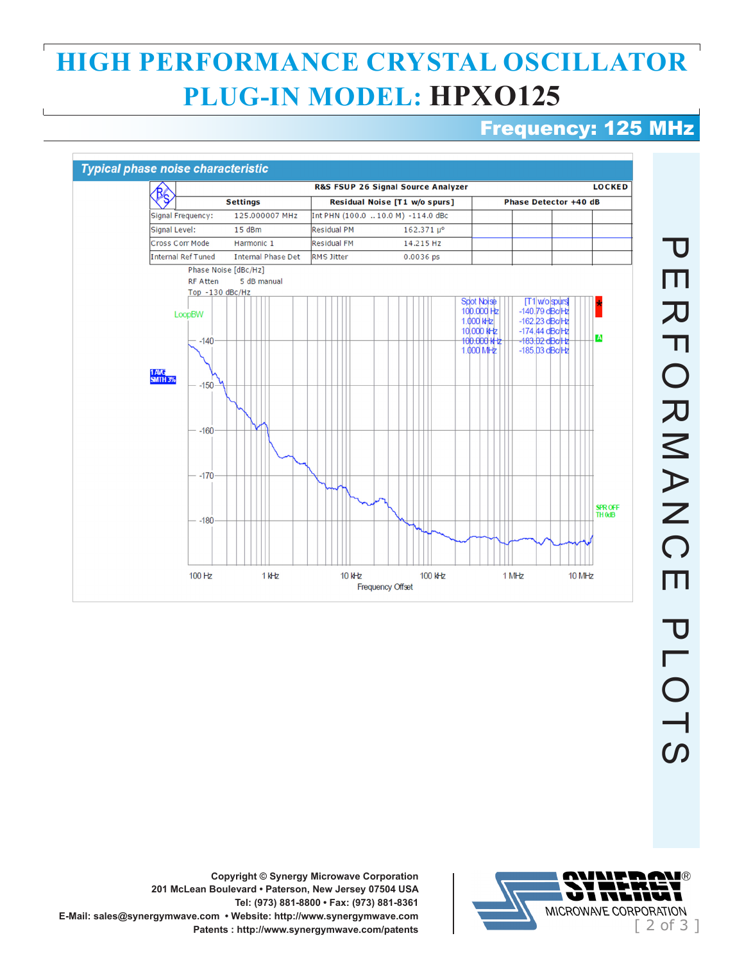## **HIGH PERFORMANCE CRYSTAL OSCILLATOR PLUG-IN MODEL: HPXO125**

## Frequency: 125 MHz





**Copyright © Synergy Microwave Corporation 201 McLean Boulevard • Paterson, New Jersey 07504 USA Tel: (973) 881-8800 • Fax: (973) 881-8361 E-Mail: sales@synergymwave.com • Website: http://www.synergymwave.com**